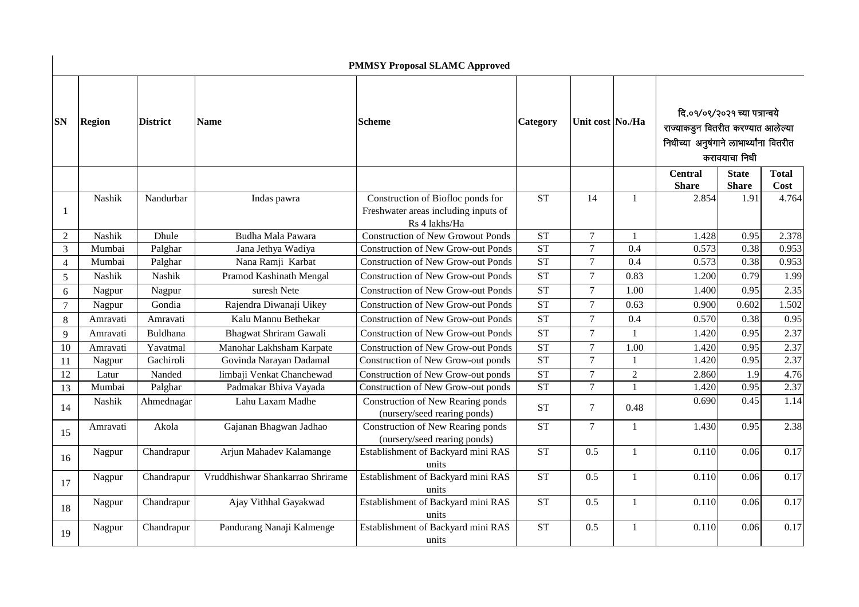|                |               |                 |                                  | <b>PMMSY Proposal SLAMC Approved</b>                                                       |                        |                  |              |                                                                                                                                |                              |                      |
|----------------|---------------|-----------------|----------------------------------|--------------------------------------------------------------------------------------------|------------------------|------------------|--------------|--------------------------------------------------------------------------------------------------------------------------------|------------------------------|----------------------|
| <b>SN</b>      | <b>Region</b> | <b>District</b> | <b>Name</b>                      | <b>Scheme</b>                                                                              | Category               | Unit cost No./Ha |              | दि.०१/०९/२०२१ च्या पत्रान्वये<br>राज्याकडून वितरीत करण्यात आलेल्या<br>निधीच्या अनुषंगाने लाभार्थ्यांना वितरीत<br>करावयाचा निधी |                              |                      |
|                |               |                 |                                  |                                                                                            |                        |                  |              | <b>Central</b><br><b>Share</b>                                                                                                 | <b>State</b><br><b>Share</b> | <b>Total</b><br>Cost |
| 1              | Nashik        | Nandurbar       | Indas pawra                      | Construction of Biofloc ponds for<br>Freshwater areas including inputs of<br>Rs 4 lakhs/Ha | <b>ST</b>              | 14               | $\mathbf{1}$ | 2.854                                                                                                                          | 1.91                         | 4.764                |
| $\overline{2}$ | Nashik        | Dhule           | Budha Mala Pawara                | <b>Construction of New Growout Ponds</b>                                                   | <b>ST</b>              | $\tau$           | $\mathbf{1}$ | 1.428                                                                                                                          | 0.95                         | 2.378                |
| 3              | Mumbai        | Palghar         | Jana Jethya Wadiya               | <b>Construction of New Grow-out Ponds</b>                                                  | <b>ST</b>              | $\overline{7}$   | 0.4          | 0.573                                                                                                                          | 0.38                         | 0.953                |
| $\overline{4}$ | Mumbai        | Palghar         | Nana Ramji Karbat                | <b>Construction of New Grow-out Ponds</b>                                                  | $\overline{\text{ST}}$ | $\overline{7}$   | 0.4          | 0.573                                                                                                                          | 0.38                         | 0.953                |
| 5              | Nashik        | Nashik          | Pramod Kashinath Mengal          | <b>Construction of New Grow-out Ponds</b>                                                  | <b>ST</b>              | $\overline{7}$   | 0.83         | 1.200                                                                                                                          | 0.79                         | 1.99                 |
| 6              | Nagpur        | Nagpur          | suresh Nete                      | <b>Construction of New Grow-out Ponds</b>                                                  | <b>ST</b>              | $\tau$           | 1.00         | 1.400                                                                                                                          | 0.95                         | 2.35                 |
| $\tau$         | Nagpur        | Gondia          | Rajendra Diwanaji Uikey          | <b>Construction of New Grow-out Ponds</b>                                                  | <b>ST</b>              | $\tau$           | 0.63         | 0.900                                                                                                                          | 0.602                        | 1.502                |
| 8              | Amravati      | Amravati        | Kalu Mannu Bethekar              | <b>Construction of New Grow-out Ponds</b>                                                  | <b>ST</b>              | $\overline{7}$   | 0.4          | 0.570                                                                                                                          | 0.38                         | 0.95                 |
| 9              | Amravati      | Buldhana        | Bhagwat Shriram Gawali           | <b>Construction of New Grow-out Ponds</b>                                                  | <b>ST</b>              | $\tau$           | $\mathbf{1}$ | 1.420                                                                                                                          | 0.95                         | 2.37                 |
| 10             | Amravati      | Yavatmal        | Manohar Lakhsham Karpate         | <b>Construction of New Grow-out Ponds</b>                                                  | <b>ST</b>              | $\overline{7}$   | 1.00         | 1.420                                                                                                                          | 0.95                         | 2.37                 |
| 11             | Nagpur        | Gachiroli       | Govinda Narayan Dadamal          | Construction of New Grow-out ponds                                                         | <b>ST</b>              | $\overline{7}$   | 1            | 1.420                                                                                                                          | 0.95                         | 2.37                 |
| 12             | Latur         | Nanded          | limbaji Venkat Chanchewad        | Construction of New Grow-out ponds                                                         | ST                     | $\overline{7}$   | $\sqrt{2}$   | 2.860                                                                                                                          | 1.9                          | 4.76                 |
| 13             | Mumbai        | Palghar         | Padmakar Bhiva Vayada            | Construction of New Grow-out ponds                                                         | <b>ST</b>              | $\overline{7}$   | $\mathbf{1}$ | 1.420                                                                                                                          | 0.95                         | 2.37                 |
| 14             | Nashik        | Ahmednagar      | Lahu Laxam Madhe                 | Construction of New Rearing ponds<br>(nursery/seed rearing ponds)                          | <b>ST</b>              | $\tau$           | 0.48         | 0.690                                                                                                                          | 0.45                         | 1.14                 |
| 15             | Amravati      | Akola           | Gajanan Bhagwan Jadhao           | Construction of New Rearing ponds<br>(nursery/seed rearing ponds)                          | <b>ST</b>              | $\overline{7}$   | 1            | 1.430                                                                                                                          | 0.95                         | 2.38                 |
| 16             | Nagpur        | Chandrapur      | Arjun Mahadev Kalamange          | Establishment of Backyard mini RAS<br>units                                                | <b>ST</b>              | 0.5              | $\mathbf{1}$ | 0.110                                                                                                                          | 0.06                         | 0.17                 |
| 17             | Nagpur        | Chandrapur      | Vruddhishwar Shankarrao Shrirame | Establishment of Backyard mini RAS<br>units                                                | <b>ST</b>              | 0.5              | $\mathbf{1}$ | 0.110                                                                                                                          | 0.06                         | 0.17                 |
| 18             | Nagpur        | Chandrapur      | Ajay Vithhal Gayakwad            | Establishment of Backyard mini RAS<br>units                                                | <b>ST</b>              | 0.5              | $\mathbf{1}$ | 0.110                                                                                                                          | 0.06                         | 0.17                 |
| 19             | Nagpur        | Chandrapur      | Pandurang Nanaji Kalmenge        | Establishment of Backyard mini RAS<br>units                                                | <b>ST</b>              | 0.5              | $\mathbf{1}$ | 0.110                                                                                                                          | 0.06                         | 0.17                 |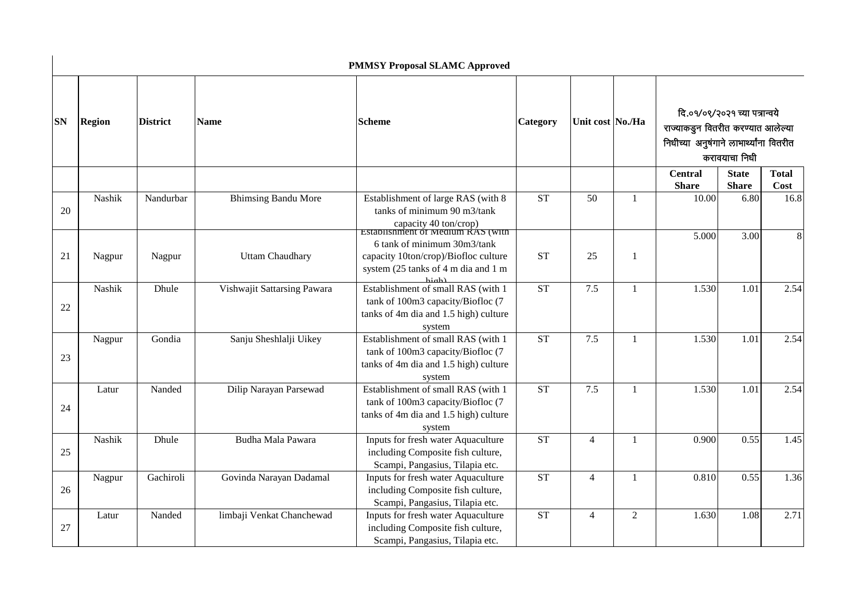|           |               |                 |                             | <b>PMMSY Proposal SLAMC Approved</b>                                                                                            |                     |                |                  |                                |                              |                                                                                                                                |  |
|-----------|---------------|-----------------|-----------------------------|---------------------------------------------------------------------------------------------------------------------------------|---------------------|----------------|------------------|--------------------------------|------------------------------|--------------------------------------------------------------------------------------------------------------------------------|--|
| <b>SN</b> | <b>Region</b> | <b>District</b> |                             | <b>Name</b>                                                                                                                     | <b>Scheme</b>       | Category       | Unit cost No./Ha |                                |                              | दि.०१/०९/२०२१ च्या पत्रान्वये<br>राज्याकडून वितरीत करण्यात आलेल्या<br>निधीच्या अनुषंगाने लाभार्थ्यांना वितरीत<br>करावयाचा निधी |  |
|           |               |                 |                             |                                                                                                                                 |                     |                |                  | <b>Central</b><br><b>Share</b> | <b>State</b><br><b>Share</b> | <b>Total</b><br>Cost                                                                                                           |  |
| 20        | Nashik        | Nandurbar       | <b>Bhimsing Bandu More</b>  | Establishment of large RAS (with 8<br>tanks of minimum 90 m3/tank<br>capacity 40 ton/crop)<br>Establishment of Medium RAS (With | <b>ST</b>           | 50             | $\mathbf{1}$     | 10.00                          | 6.80                         | 16.8                                                                                                                           |  |
| 21        | Nagpur        | Nagpur          | <b>Uttam Chaudhary</b>      | 6 tank of minimum 30m3/tank<br>capacity 10ton/crop)/Biofloc culture<br>system (25 tanks of 4 m dia and 1 m                      | <b>ST</b>           | 25             | $\mathbf{1}$     | 5.000                          | 3.00                         | 8                                                                                                                              |  |
| 22        | Nashik        | Dhule           | Vishwajit Sattarsing Pawara | Establishment of small RAS (with 1<br>tank of 100m3 capacity/Biofloc (7<br>tanks of 4m dia and 1.5 high) culture<br>system      | <b>ST</b>           | 7.5            | $\mathbf{1}$     | 1.530                          | 1.01                         | 2.54                                                                                                                           |  |
| 23        | Nagpur        | Gondia          | Sanju Sheshlalji Uikey      | Establishment of small RAS (with 1<br>tank of 100m3 capacity/Biofloc (7<br>tanks of 4m dia and 1.5 high) culture<br>system      | <b>ST</b>           | 7.5            | 1                | 1.530                          | 1.01                         | 2.54                                                                                                                           |  |
| 24        | Latur         | Nanded          | Dilip Narayan Parsewad      | Establishment of small RAS (with 1<br>tank of 100m3 capacity/Biofloc (7<br>tanks of 4m dia and 1.5 high) culture<br>system      | ST                  | 7.5            | $\mathbf{1}$     | 1.530                          | 1.01                         | 2.54                                                                                                                           |  |
| 25        | Nashik        | Dhule           | Budha Mala Pawara           | Inputs for fresh water Aquaculture<br>including Composite fish culture,<br>Scampi, Pangasius, Tilapia etc.                      | <b>ST</b>           | $\overline{4}$ | $\mathbf{1}$     | 0.900                          | 0.55                         | 1.45                                                                                                                           |  |
| 26        | Nagpur        | Gachiroli       | Govinda Narayan Dadamal     | Inputs for fresh water Aquaculture<br>including Composite fish culture,<br>Scampi, Pangasius, Tilapia etc.                      | $\operatorname{ST}$ | $\overline{4}$ | $\mathbf{1}$     | 0.810                          | 0.55                         | 1.36                                                                                                                           |  |
| 27        | Latur         | Nanded          | limbaji Venkat Chanchewad   | Inputs for fresh water Aquaculture<br>including Composite fish culture,<br>Scampi, Pangasius, Tilapia etc.                      | <b>ST</b>           | $\overline{4}$ | $\overline{2}$   | 1.630                          | 1.08                         | 2.71                                                                                                                           |  |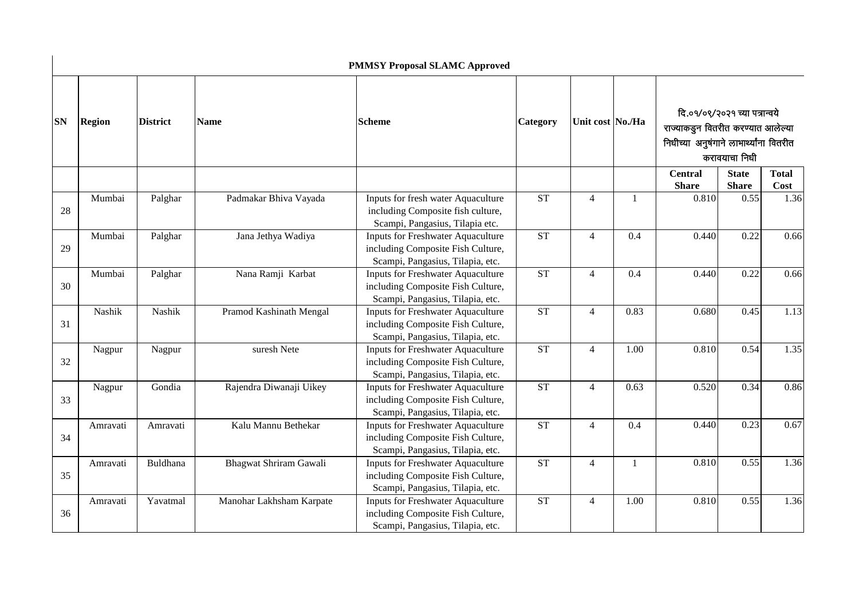|           |               |                 |                          | <b>PMMSY Proposal SLAMC Approved</b>                                                                              |                        |                  |      |                                                                                                                                |                              |                      |  |
|-----------|---------------|-----------------|--------------------------|-------------------------------------------------------------------------------------------------------------------|------------------------|------------------|------|--------------------------------------------------------------------------------------------------------------------------------|------------------------------|----------------------|--|
| <b>SN</b> | <b>Region</b> | <b>District</b> | <b>Name</b>              | <b>Scheme</b>                                                                                                     | <b>Category</b>        | Unit cost No./Ha |      | दि.०१/०९/२०२१ च्या पत्रान्वये<br>राज्याकडून वितरीत करण्यात आलेल्या<br>निधीच्या अनुषंगाने लाभार्थ्यांना वितरीत<br>करावयाचा निधी |                              |                      |  |
|           |               |                 |                          |                                                                                                                   |                        |                  |      | <b>Central</b><br><b>Share</b>                                                                                                 | <b>State</b><br><b>Share</b> | <b>Total</b><br>Cost |  |
| 28        | Mumbai        | Palghar         | Padmakar Bhiva Vayada    | Inputs for fresh water Aquaculture<br>including Composite fish culture,<br>Scampi, Pangasius, Tilapia etc.        | <b>ST</b>              | $\overline{4}$   |      | 0.810                                                                                                                          | 0.55                         | 1.36                 |  |
| 29        | Mumbai        | Palghar         | Jana Jethya Wadiya       | <b>Inputs for Freshwater Aquaculture</b><br>including Composite Fish Culture,<br>Scampi, Pangasius, Tilapia, etc. | $\overline{\text{ST}}$ | $\overline{4}$   | 0.4  | 0.440                                                                                                                          | 0.22                         | 0.66                 |  |
| 30        | Mumbai        | Palghar         | Nana Ramji Karbat        | <b>Inputs for Freshwater Aquaculture</b><br>including Composite Fish Culture,<br>Scampi, Pangasius, Tilapia, etc. | <b>ST</b>              | $\overline{4}$   | 0.4  | 0.440                                                                                                                          | 0.22                         | 0.66                 |  |
| 31        | Nashik        | Nashik          | Pramod Kashinath Mengal  | <b>Inputs for Freshwater Aquaculture</b><br>including Composite Fish Culture,<br>Scampi, Pangasius, Tilapia, etc. | <b>ST</b>              | $\overline{4}$   | 0.83 | 0.680                                                                                                                          | 0.45                         | 1.13                 |  |
| 32        | Nagpur        | Nagpur          | suresh Nete              | <b>Inputs for Freshwater Aquaculture</b><br>including Composite Fish Culture,<br>Scampi, Pangasius, Tilapia, etc. | <b>ST</b>              | $\overline{4}$   | 1.00 | 0.810                                                                                                                          | 0.54                         | 1.35                 |  |
| 33        | Nagpur        | Gondia          | Rajendra Diwanaji Uikey  | <b>Inputs for Freshwater Aquaculture</b><br>including Composite Fish Culture,<br>Scampi, Pangasius, Tilapia, etc. | <b>ST</b>              | $\overline{4}$   | 0.63 | 0.520                                                                                                                          | 0.34                         | 0.86                 |  |
| 34        | Amravati      | Amravati        | Kalu Mannu Bethekar      | <b>Inputs for Freshwater Aquaculture</b><br>including Composite Fish Culture,<br>Scampi, Pangasius, Tilapia, etc. | <b>ST</b>              | $\overline{4}$   | 0.4  | 0.440                                                                                                                          | 0.23                         | 0.67                 |  |
| 35        | Amravati      | Buldhana        | Bhagwat Shriram Gawali   | <b>Inputs for Freshwater Aquaculture</b><br>including Composite Fish Culture,<br>Scampi, Pangasius, Tilapia, etc. | ST                     | $\overline{4}$   |      | 0.810                                                                                                                          | 0.55                         | 1.36                 |  |
| 36        | Amravati      | Yavatmal        | Manohar Lakhsham Karpate | <b>Inputs for Freshwater Aquaculture</b><br>including Composite Fish Culture,<br>Scampi, Pangasius, Tilapia, etc. | ST                     | $\overline{4}$   | 1.00 | 0.810                                                                                                                          | 0.55                         | 1.36                 |  |